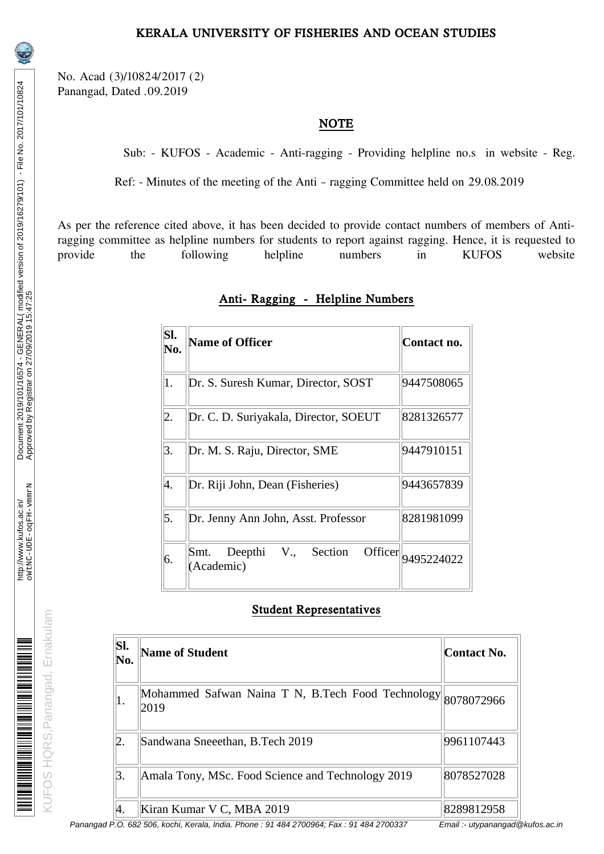KUFOS HQRS,Panangad, Ernakulam

KUFOS HQRS, Panangad, Ernakulam

<u>m de la componenta de la construcción de la construcción de la construcción de la construcción de la construcc</u>

No. Acad (3)/10824/2017 (2) Panangad, Dated .09.2019

## NOTE

Sub: - KUFOS - Academic - Anti-ragging - Providing helpline no.s in website - Reg.

Ref: - Minutes of the meeting of the Anti – ragging Committee held on 29.08.2019

As per the reference cited above, it has been decided to provide contact numbers of members of Antiragging committee as helpline numbers for students to report against ragging. Hence, it is requested to provide the following helpline numbers in KUFOS website provide the following helpline numbers in KUFOS website

| SI.<br>No. | <b>Name of Officer</b>                            | Contact no. |
|------------|---------------------------------------------------|-------------|
| 1.         | Dr. S. Suresh Kumar, Director, SOST               | 9447508065  |
| 2.         | Dr. C. D. Suriyakala, Director, SOEUT             | 8281326577  |
| 3.         | Dr. M. S. Raju, Director, SME                     | 9447910151  |
| 4.         | Dr. Riji John, Dean (Fisheries)                   | 9443657839  |
| 5.         | Dr. Jenny Ann John, Asst. Professor               | 8281981099  |
| 6.         | Officer<br>Smt. Deepthi V., Section<br>(Academic) | 9495224022  |

## Anti- Ragging - Helpline Numbers

## Student Representatives

| SI.<br>No. | <b>Name of Student</b>                                    | Contact No. |
|------------|-----------------------------------------------------------|-------------|
|            | Mohammed Safwan Naina T N, B.Tech Food Technology<br>2019 | 8078072966  |
| 2.         | Sandwana Sneeethan, B.Tech 2019                           | 9961107443  |
| З.         | Amala Tony, MSc. Food Science and Technology 2019         | 8078527028  |
| 4.         | Kiran Kumar V C, MBA 2019                                 | 8289812958  |

Panangad P.O. 682 506, kochi, Kerala, India. Phone : 91 484 2700964; Fax : 91 484 2700337 Email :- utypanangad@kufos.ac.in